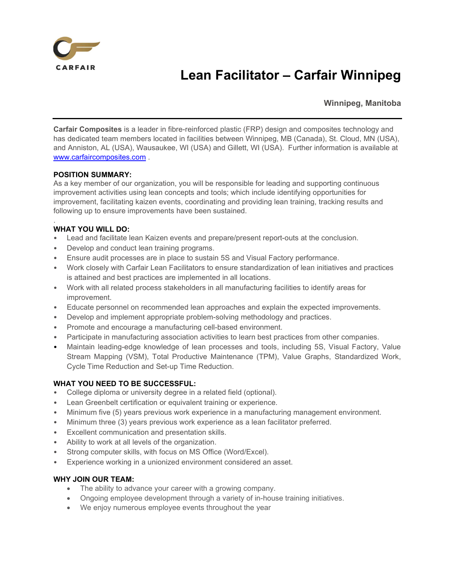

# Lean Facilitator – Carfair Winnipeg

Winnipeg, Manitoba

Carfair Composites is a leader in fibre-reinforced plastic (FRP) design and composites technology and has dedicated team members located in facilities between Winnipeg, MB (Canada), St. Cloud, MN (USA), and Anniston, AL (USA), Wausaukee, WI (USA) and Gillett, WI (USA). Further information is available at www.carfaircomposites.com .

#### POSITION SUMMARY:

As a key member of our organization, you will be responsible for leading and supporting continuous improvement activities using lean concepts and tools; which include identifying opportunities for improvement, facilitating kaizen events, coordinating and providing lean training, tracking results and following up to ensure improvements have been sustained.

# WHAT YOU WILL DO:

.

- Lead and facilitate lean Kaizen events and prepare/present report-outs at the conclusion.
- Develop and conduct lean training programs.
- Ensure audit processes are in place to sustain 5S and Visual Factory performance.
- Work closely with Carfair Lean Facilitators to ensure standardization of lean initiatives and practices is attained and best practices are implemented in all locations.
- Work with all related process stakeholders in all manufacturing facilities to identify areas for improvement.
- Educate personnel on recommended lean approaches and explain the expected improvements.
- Develop and implement appropriate problem-solving methodology and practices.
- Promote and encourage a manufacturing cell-based environment.
- Participate in manufacturing association activities to learn best practices from other companies.
- Maintain leading-edge knowledge of lean processes and tools, including 5S, Visual Factory, Value Stream Mapping (VSM), Total Productive Maintenance (TPM), Value Graphs, Standardized Work, Cycle Time Reduction and Set-up Time Reduction.

# WHAT YOU NEED TO BE SUCCESSFUL:

- College diploma or university degree in a related field (optional).
- Lean Greenbelt certification or equivalent training or experience.
- Minimum five (5) years previous work experience in a manufacturing management environment.
- Minimum three (3) years previous work experience as a lean facilitator preferred.
- Excellent communication and presentation skills.
- Ability to work at all levels of the organization.
- Strong computer skills, with focus on MS Office (Word/Excel).
- Experience working in a unionized environment considered an asset.

#### WHY JOIN OUR TEAM:

- The ability to advance your career with a growing company.
- Ongoing employee development through a variety of in-house training initiatives.
- We enjoy numerous employee events throughout the year